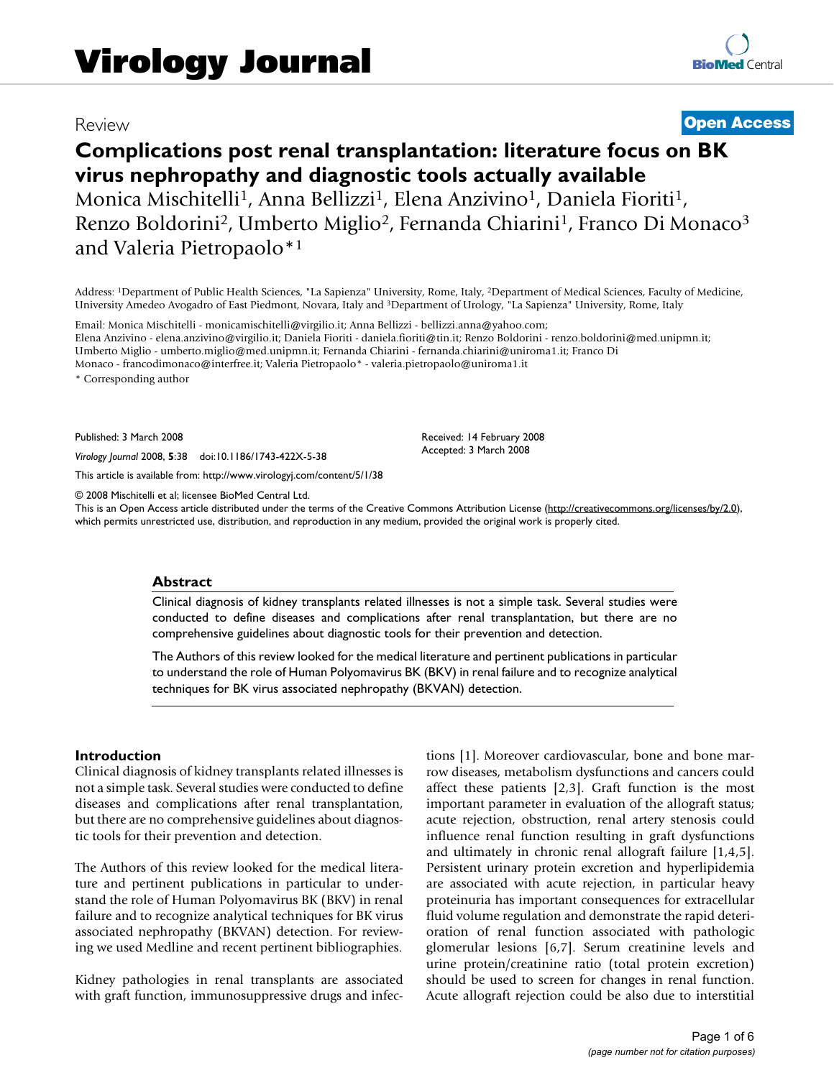# Review **[Open Access](http://www.biomedcentral.com/info/about/charter/)**

# **Complications post renal transplantation: literature focus on BK virus nephropathy and diagnostic tools actually available** Monica Mischitelli<sup>1</sup>, Anna Bellizzi<sup>1</sup>, Elena Anzivino<sup>1</sup>, Daniela Fioriti<sup>1</sup>, Renzo Boldorini<sup>2</sup>, Umberto Miglio<sup>2</sup>, Fernanda Chiarini<sup>1</sup>, Franco Di Monaco<sup>3</sup> and Valeria Pietropaolo\*1

Address: 1Department of Public Health Sciences, "La Sapienza" University, Rome, Italy, 2Department of Medical Sciences, Faculty of Medicine, University Amedeo Avogadro of East Piedmont, Novara, Italy and 3Department of Urology, "La Sapienza" University, Rome, Italy

Email: Monica Mischitelli - monicamischitelli@virgilio.it; Anna Bellizzi - bellizzi.anna@yahoo.com; Elena Anzivino - elena.anzivino@virgilio.it; Daniela Fioriti - daniela.fioriti@tin.it; Renzo Boldorini - renzo.boldorini@med.unipmn.it; Umberto Miglio - umberto.miglio@med.unipmn.it; Fernanda Chiarini - fernanda.chiarini@uniroma1.it; Franco Di Monaco - francodimonaco@interfree.it; Valeria Pietropaolo\* - valeria.pietropaolo@uniroma1.it

\* Corresponding author

Published: 3 March 2008

*Virology Journal* 2008, **5**:38 doi:10.1186/1743-422X-5-38

[This article is available from: http://www.virologyj.com/content/5/1/38](http://www.virologyj.com/content/5/1/38)

© 2008 Mischitelli et al; licensee BioMed Central Ltd.

This is an Open Access article distributed under the terms of the Creative Commons Attribution License [\(http://creativecommons.org/licenses/by/2.0\)](http://creativecommons.org/licenses/by/2.0), which permits unrestricted use, distribution, and reproduction in any medium, provided the original work is properly cited.

Received: 14 February 2008 Accepted: 3 March 2008

#### **Abstract**

Clinical diagnosis of kidney transplants related illnesses is not a simple task. Several studies were conducted to define diseases and complications after renal transplantation, but there are no comprehensive guidelines about diagnostic tools for their prevention and detection.

The Authors of this review looked for the medical literature and pertinent publications in particular to understand the role of Human Polyomavirus BK (BKV) in renal failure and to recognize analytical techniques for BK virus associated nephropathy (BKVAN) detection.

#### **Introduction**

Clinical diagnosis of kidney transplants related illnesses is not a simple task. Several studies were conducted to define diseases and complications after renal transplantation, but there are no comprehensive guidelines about diagnostic tools for their prevention and detection.

The Authors of this review looked for the medical literature and pertinent publications in particular to understand the role of Human Polyomavirus BK (BKV) in renal failure and to recognize analytical techniques for BK virus associated nephropathy (BKVAN) detection. For reviewing we used Medline and recent pertinent bibliographies.

Kidney pathologies in renal transplants are associated with graft function, immunosuppressive drugs and infections [1]. Moreover cardiovascular, bone and bone marrow diseases, metabolism dysfunctions and cancers could affect these patients [2,3]. Graft function is the most important parameter in evaluation of the allograft status; acute rejection, obstruction, renal artery stenosis could influence renal function resulting in graft dysfunctions and ultimately in chronic renal allograft failure [1,4,5]. Persistent urinary protein excretion and hyperlipidemia are associated with acute rejection, in particular heavy proteinuria has important consequences for extracellular fluid volume regulation and demonstrate the rapid deterioration of renal function associated with pathologic glomerular lesions [6,7]. Serum creatinine levels and urine protein/creatinine ratio (total protein excretion) should be used to screen for changes in renal function. Acute allograft rejection could be also due to interstitial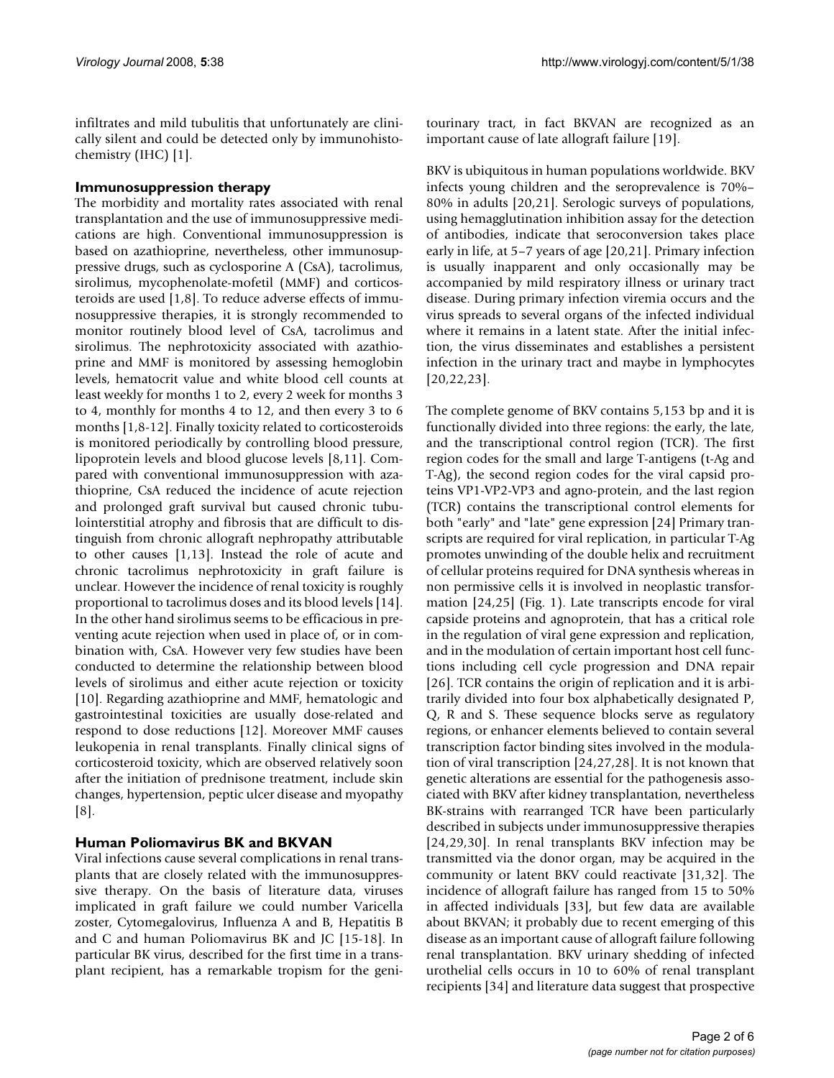infiltrates and mild tubulitis that unfortunately are clinically silent and could be detected only by immunohistochemistry (IHC) [1].

#### **Immunosuppression therapy**

The morbidity and mortality rates associated with renal transplantation and the use of immunosuppressive medications are high. Conventional immunosuppression is based on azathioprine, nevertheless, other immunosuppressive drugs, such as cyclosporine A (CsA), tacrolimus, sirolimus, mycophenolate-mofetil (MMF) and corticosteroids are used [1,8]. To reduce adverse effects of immunosuppressive therapies, it is strongly recommended to monitor routinely blood level of CsA, tacrolimus and sirolimus. The nephrotoxicity associated with azathioprine and MMF is monitored by assessing hemoglobin levels, hematocrit value and white blood cell counts at least weekly for months 1 to 2, every 2 week for months 3 to 4, monthly for months 4 to 12, and then every 3 to 6 months [1,8-12]. Finally toxicity related to corticosteroids is monitored periodically by controlling blood pressure, lipoprotein levels and blood glucose levels [8,11]. Compared with conventional immunosuppression with azathioprine, CsA reduced the incidence of acute rejection and prolonged graft survival but caused chronic tubulointerstitial atrophy and fibrosis that are difficult to distinguish from chronic allograft nephropathy attributable to other causes [1,13]. Instead the role of acute and chronic tacrolimus nephrotoxicity in graft failure is unclear. However the incidence of renal toxicity is roughly proportional to tacrolimus doses and its blood levels [14]. In the other hand sirolimus seems to be efficacious in preventing acute rejection when used in place of, or in combination with, CsA. However very few studies have been conducted to determine the relationship between blood levels of sirolimus and either acute rejection or toxicity [10]. Regarding azathioprine and MMF, hematologic and gastrointestinal toxicities are usually dose-related and respond to dose reductions [12]. Moreover MMF causes leukopenia in renal transplants. Finally clinical signs of corticosteroid toxicity, which are observed relatively soon after the initiation of prednisone treatment, include skin changes, hypertension, peptic ulcer disease and myopathy [8].

# **Human Poliomavirus BK and BKVAN**

Viral infections cause several complications in renal transplants that are closely related with the immunosuppressive therapy. On the basis of literature data, viruses implicated in graft failure we could number Varicella zoster, Cytomegalovirus, Influenza A and B, Hepatitis B and C and human Poliomavirus BK and JC [15-18]. In particular BK virus, described for the first time in a transplant recipient, has a remarkable tropism for the genitourinary tract, in fact BKVAN are recognized as an important cause of late allograft failure [19].

BKV is ubiquitous in human populations worldwide. BKV infects young children and the seroprevalence is 70%– 80% in adults [20,21]. Serologic surveys of populations, using hemagglutination inhibition assay for the detection of antibodies, indicate that seroconversion takes place early in life, at 5–7 years of age [20,21]. Primary infection is usually inapparent and only occasionally may be accompanied by mild respiratory illness or urinary tract disease. During primary infection viremia occurs and the virus spreads to several organs of the infected individual where it remains in a latent state. After the initial infection, the virus disseminates and establishes a persistent infection in the urinary tract and maybe in lymphocytes [20,22,23].

The complete genome of BKV contains 5,153 bp and it is functionally divided into three regions: the early, the late, and the transcriptional control region (TCR). The first region codes for the small and large T-antigens (t-Ag and T-Ag), the second region codes for the viral capsid proteins VP1-VP2-VP3 and agno-protein, and the last region (TCR) contains the transcriptional control elements for both "early" and "late" gene expression [24] Primary transcripts are required for viral replication, in particular T-Ag promotes unwinding of the double helix and recruitment of cellular proteins required for DNA synthesis whereas in non permissive cells it is involved in neoplastic transformation [24,25] (Fig. 1). Late transcripts encode for viral capside proteins and agnoprotein, that has a critical role in the regulation of viral gene expression and replication, and in the modulation of certain important host cell functions including cell cycle progression and DNA repair [26]. TCR contains the origin of replication and it is arbitrarily divided into four box alphabetically designated P, Q, R and S. These sequence blocks serve as regulatory regions, or enhancer elements believed to contain several transcription factor binding sites involved in the modulation of viral transcription [24,27,28]. It is not known that genetic alterations are essential for the pathogenesis associated with BKV after kidney transplantation, nevertheless BK-strains with rearranged TCR have been particularly described in subjects under immunosuppressive therapies [24,29,30]. In renal transplants BKV infection may be transmitted via the donor organ, may be acquired in the community or latent BKV could reactivate [31,32]. The incidence of allograft failure has ranged from 15 to 50% in affected individuals [33], but few data are available about BKVAN; it probably due to recent emerging of this disease as an important cause of allograft failure following renal transplantation. BKV urinary shedding of infected urothelial cells occurs in 10 to 60% of renal transplant recipients [34] and literature data suggest that prospective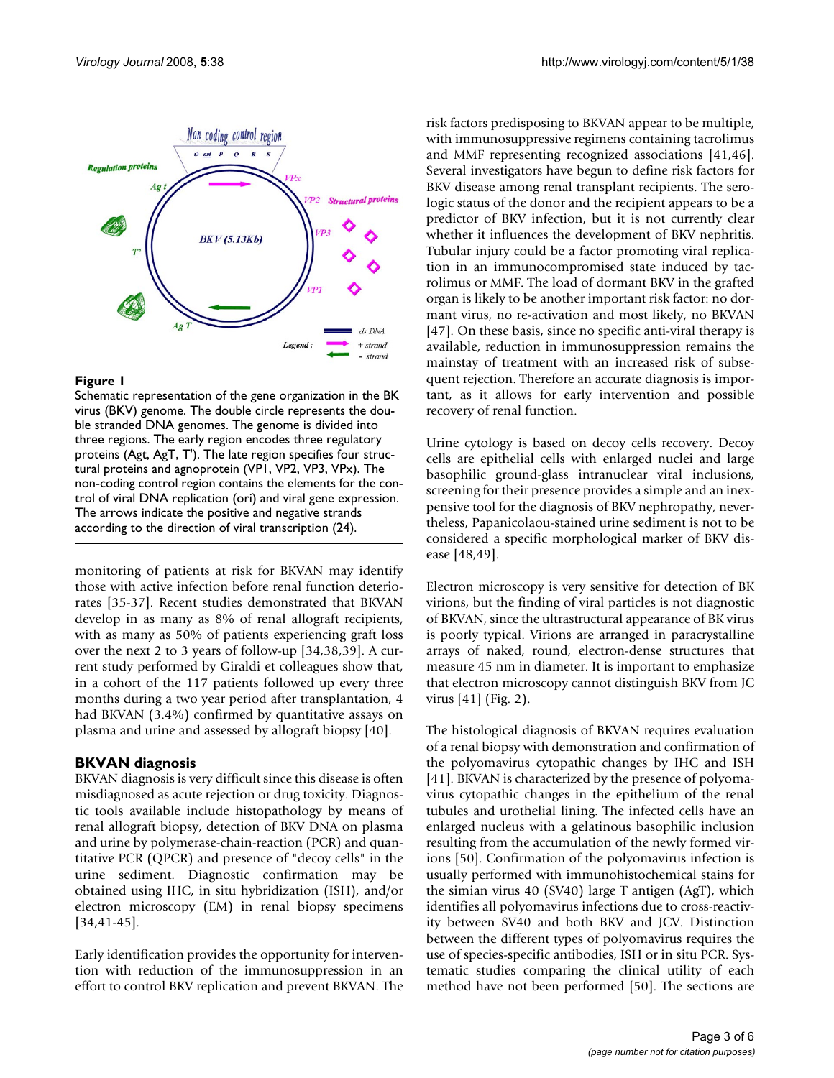

#### **Figure 1**

Schematic representation of the gene organization in the BK virus (BKV) genome. The double circle represents the double stranded DNA genomes. The genome is divided into three regions. The early region encodes three regulatory proteins (Agt, AgT, T'). The late region specifies four structural proteins and agnoprotein (VP1, VP2, VP3, VPx). The non-coding control region contains the elements for the control of viral DNA replication (ori) and viral gene expression. The arrows indicate the positive and negative strands according to the direction of viral transcription (24).

monitoring of patients at risk for BKVAN may identify those with active infection before renal function deteriorates [35-37]. Recent studies demonstrated that BKVAN develop in as many as 8% of renal allograft recipients, with as many as 50% of patients experiencing graft loss over the next 2 to 3 years of follow-up [34,38,39]. A current study performed by Giraldi et colleagues show that, in a cohort of the 117 patients followed up every three months during a two year period after transplantation, 4 had BKVAN (3.4%) confirmed by quantitative assays on plasma and urine and assessed by allograft biopsy [40].

# **BKVAN diagnosis**

BKVAN diagnosis is very difficult since this disease is often misdiagnosed as acute rejection or drug toxicity. Diagnostic tools available include histopathology by means of renal allograft biopsy, detection of BKV DNA on plasma and urine by polymerase-chain-reaction (PCR) and quantitative PCR (QPCR) and presence of "decoy cells" in the urine sediment. Diagnostic confirmation may be obtained using IHC, in situ hybridization (ISH), and/or electron microscopy (EM) in renal biopsy specimens [34,41-45].

Early identification provides the opportunity for intervention with reduction of the immunosuppression in an effort to control BKV replication and prevent BKVAN. The risk factors predisposing to BKVAN appear to be multiple, with immunosuppressive regimens containing tacrolimus and MMF representing recognized associations [41,46]. Several investigators have begun to define risk factors for BKV disease among renal transplant recipients. The serologic status of the donor and the recipient appears to be a predictor of BKV infection, but it is not currently clear whether it influences the development of BKV nephritis. Tubular injury could be a factor promoting viral replication in an immunocompromised state induced by tacrolimus or MMF. The load of dormant BKV in the grafted organ is likely to be another important risk factor: no dormant virus, no re-activation and most likely, no BKVAN [47]. On these basis, since no specific anti-viral therapy is available, reduction in immunosuppression remains the mainstay of treatment with an increased risk of subsequent rejection. Therefore an accurate diagnosis is important, as it allows for early intervention and possible recovery of renal function.

Urine cytology is based on decoy cells recovery. Decoy cells are epithelial cells with enlarged nuclei and large basophilic ground-glass intranuclear viral inclusions, screening for their presence provides a simple and an inexpensive tool for the diagnosis of BKV nephropathy, nevertheless, Papanicolaou-stained urine sediment is not to be considered a specific morphological marker of BKV disease [48,49].

Electron microscopy is very sensitive for detection of BK virions, but the finding of viral particles is not diagnostic of BKVAN, since the ultrastructural appearance of BK virus is poorly typical. Virions are arranged in paracrystalline arrays of naked, round, electron-dense structures that measure 45 nm in diameter. It is important to emphasize that electron microscopy cannot distinguish BKV from JC virus [41] (Fig. 2).

The histological diagnosis of BKVAN requires evaluation of a renal biopsy with demonstration and confirmation of the polyomavirus cytopathic changes by IHC and ISH [41]. BKVAN is characterized by the presence of polyomavirus cytopathic changes in the epithelium of the renal tubules and urothelial lining. The infected cells have an enlarged nucleus with a gelatinous basophilic inclusion resulting from the accumulation of the newly formed virions [50]. Confirmation of the polyomavirus infection is usually performed with immunohistochemical stains for the simian virus 40 (SV40) large T antigen (AgT), which identifies all polyomavirus infections due to cross-reactivity between SV40 and both BKV and JCV. Distinction between the different types of polyomavirus requires the use of species-specific antibodies, ISH or in situ PCR. Systematic studies comparing the clinical utility of each method have not been performed [50]. The sections are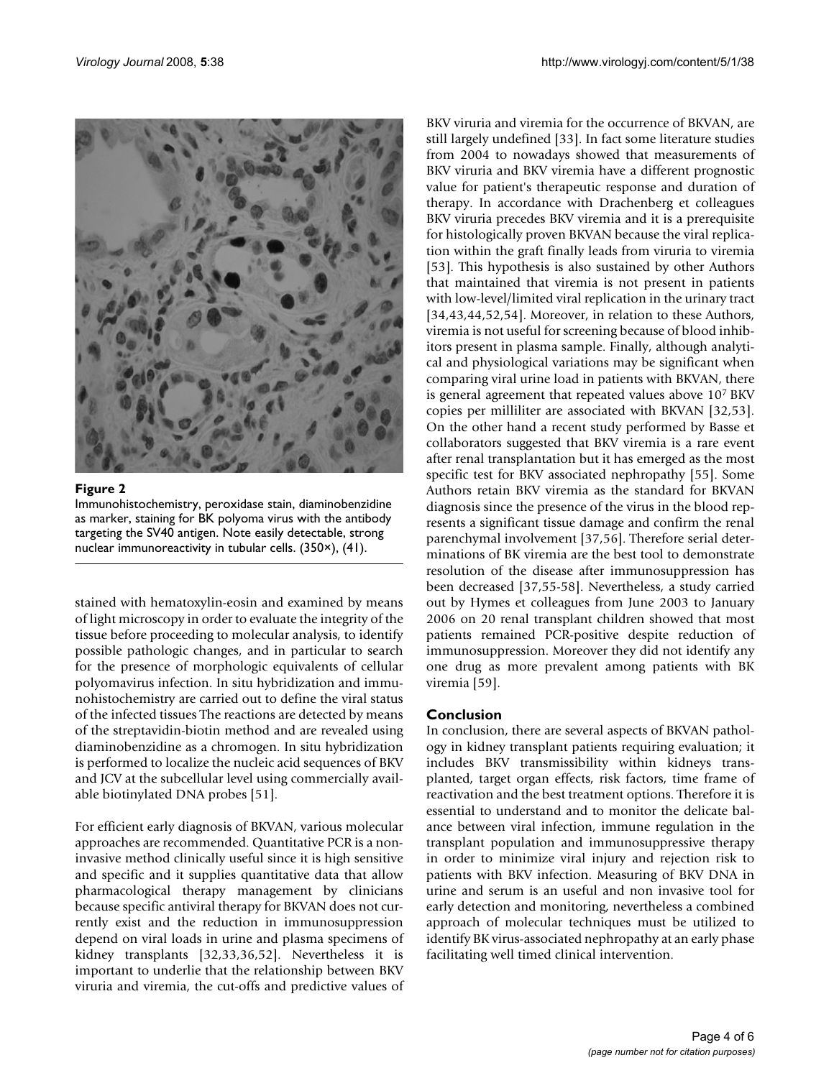

Figure 2 Immunohistochemistry, peroxidase stain, diaminobenzidine as marker, staining for BK polyoma virus with the antibody targeting the SV40 antigen. Note easily detectable, strong nuclear immunoreactivity in tubular cells. (350×), (41).

stained with hematoxylin-eosin and examined by means of light microscopy in order to evaluate the integrity of the tissue before proceeding to molecular analysis, to identify possible pathologic changes, and in particular to search for the presence of morphologic equivalents of cellular polyomavirus infection. In situ hybridization and immunohistochemistry are carried out to define the viral status of the infected tissues The reactions are detected by means of the streptavidin-biotin method and are revealed using diaminobenzidine as a chromogen. In situ hybridization is performed to localize the nucleic acid sequences of BKV and JCV at the subcellular level using commercially available biotinylated DNA probes [51].

For efficient early diagnosis of BKVAN, various molecular approaches are recommended. Quantitative PCR is a noninvasive method clinically useful since it is high sensitive and specific and it supplies quantitative data that allow pharmacological therapy management by clinicians because specific antiviral therapy for BKVAN does not currently exist and the reduction in immunosuppression depend on viral loads in urine and plasma specimens of kidney transplants [32,33,36,52]. Nevertheless it is important to underlie that the relationship between BKV viruria and viremia, the cut-offs and predictive values of BKV viruria and viremia for the occurrence of BKVAN, are still largely undefined [33]. In fact some literature studies from 2004 to nowadays showed that measurements of BKV viruria and BKV viremia have a different prognostic value for patient's therapeutic response and duration of therapy. In accordance with Drachenberg et colleagues BKV viruria precedes BKV viremia and it is a prerequisite for histologically proven BKVAN because the viral replication within the graft finally leads from viruria to viremia [53]. This hypothesis is also sustained by other Authors that maintained that viremia is not present in patients with low-level/limited viral replication in the urinary tract [34,43,44,52,54]. Moreover, in relation to these Authors, viremia is not useful for screening because of blood inhibitors present in plasma sample. Finally, although analytical and physiological variations may be significant when comparing viral urine load in patients with BKVAN, there is general agreement that repeated values above 107 BKV copies per milliliter are associated with BKVAN [32,53]. On the other hand a recent study performed by Basse et collaborators suggested that BKV viremia is a rare event after renal transplantation but it has emerged as the most specific test for BKV associated nephropathy [55]. Some Authors retain BKV viremia as the standard for BKVAN diagnosis since the presence of the virus in the blood represents a significant tissue damage and confirm the renal parenchymal involvement [37,56]. Therefore serial determinations of BK viremia are the best tool to demonstrate resolution of the disease after immunosuppression has been decreased [37,55-58]. Nevertheless, a study carried out by Hymes et colleagues from June 2003 to January 2006 on 20 renal transplant children showed that most patients remained PCR-positive despite reduction of immunosuppression. Moreover they did not identify any one drug as more prevalent among patients with BK viremia [59].

# **Conclusion**

In conclusion, there are several aspects of BKVAN pathology in kidney transplant patients requiring evaluation; it includes BKV transmissibility within kidneys transplanted, target organ effects, risk factors, time frame of reactivation and the best treatment options. Therefore it is essential to understand and to monitor the delicate balance between viral infection, immune regulation in the transplant population and immunosuppressive therapy in order to minimize viral injury and rejection risk to patients with BKV infection. Measuring of BKV DNA in urine and serum is an useful and non invasive tool for early detection and monitoring, nevertheless a combined approach of molecular techniques must be utilized to identify BK virus-associated nephropathy at an early phase facilitating well timed clinical intervention.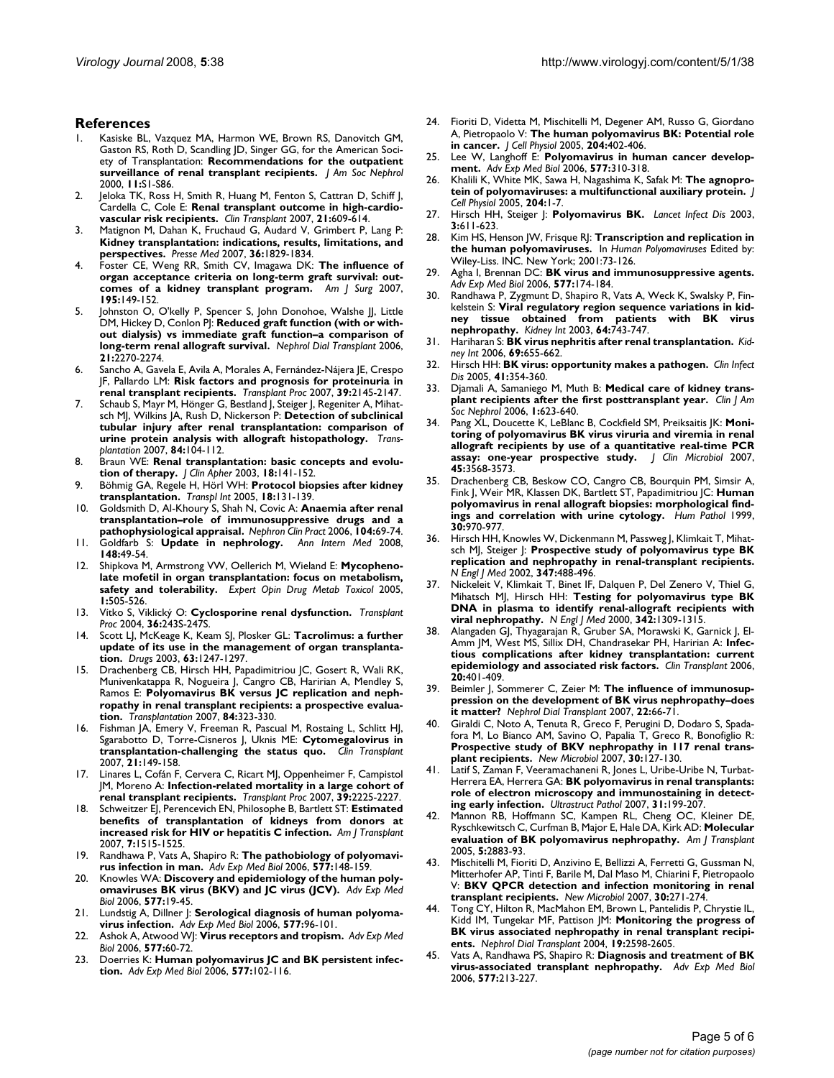#### **References**

- Kasiske BL, Vazquez MA, Harmon WE, Brown RS, Danovitch GM, Gaston RS, Roth D, Scandling JD, Singer GG, for the American Society of Transplantation: **[Recommendations for the outpatient](http://www.ncbi.nlm.nih.gov/entrez/query.fcgi?cmd=Retrieve&db=PubMed&dopt=Abstract&list_uids=11044969) [surveillance of renal transplant recipients.](http://www.ncbi.nlm.nih.gov/entrez/query.fcgi?cmd=Retrieve&db=PubMed&dopt=Abstract&list_uids=11044969)** *J Am Soc Nephrol* 2000, **11:**S1-S86.
- 2. Jeloka TK, Ross H, Smith R, Huang M, Fenton S, Cattran D, Schiff J, Cardella C, Cole E: **[Renal transplant outcome in high-cardio](http://www.ncbi.nlm.nih.gov/entrez/query.fcgi?cmd=Retrieve&db=PubMed&dopt=Abstract&list_uids=17845634)[vascular risk recipients.](http://www.ncbi.nlm.nih.gov/entrez/query.fcgi?cmd=Retrieve&db=PubMed&dopt=Abstract&list_uids=17845634)** *Clin Transplant* 2007, **21:**609-614.
- 3. Matignon M, Dahan K, Fruchaud G, Audard V, Grimbert P, Lang P: **[Kidney transplantation: indications, results, limitations, and](http://www.ncbi.nlm.nih.gov/entrez/query.fcgi?cmd=Retrieve&db=PubMed&dopt=Abstract&list_uids=17961972) [perspectives.](http://www.ncbi.nlm.nih.gov/entrez/query.fcgi?cmd=Retrieve&db=PubMed&dopt=Abstract&list_uids=17961972)** *Presse Med* 2007, **36:**1829-1834.
- 4. Foster CE, Weng RR, Smith CV, Imagawa DK: **The influence of organ acceptance criteria on long-term graft survival: outcomes of a kidney transplant program.** *Am J Surg* 2007, **195:**149-152.
- 5. Johnston O, O'kelly P, Spencer S, John Donohoe, Walshe JJ, Little DM, Hickey D, Conlon PJ: **[Reduced graft function \(with or with](http://www.ncbi.nlm.nih.gov/entrez/query.fcgi?cmd=Retrieve&db=PubMed&dopt=Abstract&list_uids=16720598)[out dialysis\) vs immediate graft function–a comparison of](http://www.ncbi.nlm.nih.gov/entrez/query.fcgi?cmd=Retrieve&db=PubMed&dopt=Abstract&list_uids=16720598) [long-term renal allograft survival.](http://www.ncbi.nlm.nih.gov/entrez/query.fcgi?cmd=Retrieve&db=PubMed&dopt=Abstract&list_uids=16720598)** *Nephrol Dial Transplant* 2006, **21:**2270-2274.
- Sancho A, Gavela E, Avila A, Morales A, Fernández-Nájera JE, Crespo JF, Pallardo LM: **[Risk factors and prognosis for proteinuria in](http://www.ncbi.nlm.nih.gov/entrez/query.fcgi?cmd=Retrieve&db=PubMed&dopt=Abstract&list_uids=17889119) [renal transplant recipients.](http://www.ncbi.nlm.nih.gov/entrez/query.fcgi?cmd=Retrieve&db=PubMed&dopt=Abstract&list_uids=17889119)** *Transplant Proc* 2007, **39:**2145-2147.
- 7. Schaub S, Mayr M, Hönger G, Bestland J, Steiger J, Regeniter A, Mihatsch MJ, Wilkins JA, Rush D, Nickerson P: **[Detection of subclinical](http://www.ncbi.nlm.nih.gov/entrez/query.fcgi?cmd=Retrieve&db=PubMed&dopt=Abstract&list_uids=17627245) [tubular injury after renal transplantation: comparison of](http://www.ncbi.nlm.nih.gov/entrez/query.fcgi?cmd=Retrieve&db=PubMed&dopt=Abstract&list_uids=17627245) [urine protein analysis with allograft histopathology.](http://www.ncbi.nlm.nih.gov/entrez/query.fcgi?cmd=Retrieve&db=PubMed&dopt=Abstract&list_uids=17627245)** *Transplantation* 2007, **84:**104-112.
- 8. Braun WE: **[Renal transplantation: basic concepts and evolu](http://www.ncbi.nlm.nih.gov/entrez/query.fcgi?cmd=Retrieve&db=PubMed&dopt=Abstract&list_uids=14569608)[tion of therapy.](http://www.ncbi.nlm.nih.gov/entrez/query.fcgi?cmd=Retrieve&db=PubMed&dopt=Abstract&list_uids=14569608)** *J Clin Apher* 2003, **18:**141-152.
- 9. Böhmig GA, Regele H, Hörl WH: **[Protocol biopsies after kidney](http://www.ncbi.nlm.nih.gov/entrez/query.fcgi?cmd=Retrieve&db=PubMed&dopt=Abstract&list_uids=15691264) [transplantation.](http://www.ncbi.nlm.nih.gov/entrez/query.fcgi?cmd=Retrieve&db=PubMed&dopt=Abstract&list_uids=15691264)** *Transpl Int* 2005, **18:**131-139.
- 10. Goldsmith D, Al-Khoury S, Shah N, Covic A: **Anaemia after renal transplantation–role of immunosuppressive drugs and a pathophysiological appraisal.** *Nephron Clin Pract* 2006, **104:**69-74.
- 11. Goldfarb S: **[Update in nephrology.](http://www.ncbi.nlm.nih.gov/entrez/query.fcgi?cmd=Retrieve&db=PubMed&dopt=Abstract&list_uids=18166760)** *Ann Intern Med* 2008, **148:**49-54.
- 12. Shipkova M, Armstrong VW, Oellerich M, Wieland E: **[Mycopheno](http://www.ncbi.nlm.nih.gov/entrez/query.fcgi?cmd=Retrieve&db=PubMed&dopt=Abstract&list_uids=16863458)[late mofetil in organ transplantation: focus on metabolism,](http://www.ncbi.nlm.nih.gov/entrez/query.fcgi?cmd=Retrieve&db=PubMed&dopt=Abstract&list_uids=16863458) [safety and tolerability.](http://www.ncbi.nlm.nih.gov/entrez/query.fcgi?cmd=Retrieve&db=PubMed&dopt=Abstract&list_uids=16863458)** *Expert Opin Drug Metab Toxicol* 2005, **1:**505-526.
- 13. Vítko S, Viklický O: **[Cyclosporine renal dysfunction.](http://www.ncbi.nlm.nih.gov/entrez/query.fcgi?cmd=Retrieve&db=PubMed&dopt=Abstract&list_uids=15041346)** *Transplant Proc* 2004, **36:**243S-247S.
- 14. Scott LJ, McKeage K, Keam SJ, Plosker GL: **[Tacrolimus: a further](http://www.ncbi.nlm.nih.gov/entrez/query.fcgi?cmd=Retrieve&db=PubMed&dopt=Abstract&list_uids=12790696) [update of its use in the management of organ transplanta](http://www.ncbi.nlm.nih.gov/entrez/query.fcgi?cmd=Retrieve&db=PubMed&dopt=Abstract&list_uids=12790696)[tion.](http://www.ncbi.nlm.nih.gov/entrez/query.fcgi?cmd=Retrieve&db=PubMed&dopt=Abstract&list_uids=12790696)** *Drugs* 2003, **63:**1247-1297.
- 15. Drachenberg CB, Hirsch HH, Papadimitriou JC, Gosert R, Wali RK, Munivenkatappa R, Nogueira J, Cangro CB, Haririan A, Mendley S, Ramos E: **[Polyomavirus BK versus JC replication and neph](http://www.ncbi.nlm.nih.gov/entrez/query.fcgi?cmd=Retrieve&db=PubMed&dopt=Abstract&list_uids=17700156)[ropathy in renal transplant recipients: a prospective evalua](http://www.ncbi.nlm.nih.gov/entrez/query.fcgi?cmd=Retrieve&db=PubMed&dopt=Abstract&list_uids=17700156)[tion.](http://www.ncbi.nlm.nih.gov/entrez/query.fcgi?cmd=Retrieve&db=PubMed&dopt=Abstract&list_uids=17700156)** *Transplantation* 2007, **84:**323-330.
- 16. Fishman JA, Emery V, Freeman R, Pascual M, Rostaing L, Schlitt HJ, Sgarabotto D, Torre-Cisneros J, Uknis ME: **[Cytomegalovirus in](http://www.ncbi.nlm.nih.gov/entrez/query.fcgi?cmd=Retrieve&db=PubMed&dopt=Abstract&list_uids=17425738) [transplantation-challenging the status quo.](http://www.ncbi.nlm.nih.gov/entrez/query.fcgi?cmd=Retrieve&db=PubMed&dopt=Abstract&list_uids=17425738)** *Clin Transplant* 2007, **21:**149-158.
- 17. Linares L, Cofán F, Cervera C, Ricart MJ, Oppenheimer F, Campistol JM, Moreno A: **[Infection-related mortality in a large cohort of](http://www.ncbi.nlm.nih.gov/entrez/query.fcgi?cmd=Retrieve&db=PubMed&dopt=Abstract&list_uids=17889145) [renal transplant recipients.](http://www.ncbi.nlm.nih.gov/entrez/query.fcgi?cmd=Retrieve&db=PubMed&dopt=Abstract&list_uids=17889145)** *Transplant Proc* 2007, **39:**2225-2227.
- 18. Schweitzer EJ, Perencevich EN, Philosophe B, Bartlett ST: **[Estimated](http://www.ncbi.nlm.nih.gov/entrez/query.fcgi?cmd=Retrieve&db=PubMed&dopt=Abstract&list_uids=17511680) [benefits of transplantation of kidneys from donors at](http://www.ncbi.nlm.nih.gov/entrez/query.fcgi?cmd=Retrieve&db=PubMed&dopt=Abstract&list_uids=17511680) [increased risk for HIV or hepatitis C infection.](http://www.ncbi.nlm.nih.gov/entrez/query.fcgi?cmd=Retrieve&db=PubMed&dopt=Abstract&list_uids=17511680)** *Am J Transplant* 2007, **7:**1515-1525.
- 19. Randhawa P, Vats A, Shapiro R: **[The pathobiology of polyomavi](http://www.ncbi.nlm.nih.gov/entrez/query.fcgi?cmd=Retrieve&db=PubMed&dopt=Abstract&list_uids=16626033)[rus infection in man.](http://www.ncbi.nlm.nih.gov/entrez/query.fcgi?cmd=Retrieve&db=PubMed&dopt=Abstract&list_uids=16626033)** *Adv Exp Med Biol* 2006, **577:**148-159.
- 20. Knowles WA: **[Discovery and epidemiology of the human poly](http://www.ncbi.nlm.nih.gov/entrez/query.fcgi?cmd=Retrieve&db=PubMed&dopt=Abstract&list_uids=16626025)[omaviruses BK virus \(BKV\) and JC virus \(JCV\).](http://www.ncbi.nlm.nih.gov/entrez/query.fcgi?cmd=Retrieve&db=PubMed&dopt=Abstract&list_uids=16626025)** *Adv Exp Med Biol* 2006, **577:**19-45.
- 21. Lundstig A, Dillner J: **[Serological diagnosis of human polyoma](http://www.ncbi.nlm.nih.gov/entrez/query.fcgi?cmd=Retrieve&db=PubMed&dopt=Abstract&list_uids=16626030)[virus infection.](http://www.ncbi.nlm.nih.gov/entrez/query.fcgi?cmd=Retrieve&db=PubMed&dopt=Abstract&list_uids=16626030)** *Adv Exp Med Biol* 2006, **577:**96-101.
- 22. Ashok A, Atwood WJ: **[Virus receptors and tropism.](http://www.ncbi.nlm.nih.gov/entrez/query.fcgi?cmd=Retrieve&db=PubMed&dopt=Abstract&list_uids=16626027)** *Adv Exp Med Biol* 2006, **577:**60-72.
- 23. Doerries K: **[Human polyomavirus JC and BK persistent infec](http://www.ncbi.nlm.nih.gov/entrez/query.fcgi?cmd=Retrieve&db=PubMed&dopt=Abstract&list_uids=16626031)[tion.](http://www.ncbi.nlm.nih.gov/entrez/query.fcgi?cmd=Retrieve&db=PubMed&dopt=Abstract&list_uids=16626031)** *Adv Exp Med Biol* 2006, **577:**102-116.
- 24. Fioriti D, Videtta M, Mischitelli M, Degener AM, Russo G, Giordano A, Pietropaolo V: **[The human polyomavirus BK: Potential role](http://www.ncbi.nlm.nih.gov/entrez/query.fcgi?cmd=Retrieve&db=PubMed&dopt=Abstract&list_uids=15690396) [in cancer.](http://www.ncbi.nlm.nih.gov/entrez/query.fcgi?cmd=Retrieve&db=PubMed&dopt=Abstract&list_uids=15690396)** *J Cell Physiol* 2005, **204:**402-406.
- 25. Lee W, Langhoff E: **[Polyomavirus in human cancer develop](http://www.ncbi.nlm.nih.gov/entrez/query.fcgi?cmd=Retrieve&db=PubMed&dopt=Abstract&list_uids=16626045)[ment.](http://www.ncbi.nlm.nih.gov/entrez/query.fcgi?cmd=Retrieve&db=PubMed&dopt=Abstract&list_uids=16626045)** *Adv Exp Med Biol* 2006, **577:**310-318.
- 26. Khalili K, White MK, Sawa H, Nagashima K, Safak M: **[The agnopro](http://www.ncbi.nlm.nih.gov/entrez/query.fcgi?cmd=Retrieve&db=PubMed&dopt=Abstract&list_uids=15573377)[tein of polyomaviruses: a multifunctional auxiliary protein.](http://www.ncbi.nlm.nih.gov/entrez/query.fcgi?cmd=Retrieve&db=PubMed&dopt=Abstract&list_uids=15573377)** *J Cell Physiol* 2005, **204:**1-7.
- 27. Hirsch HH, Steiger J: **[Polyomavirus BK.](http://www.ncbi.nlm.nih.gov/entrez/query.fcgi?cmd=Retrieve&db=PubMed&dopt=Abstract&list_uids=14522260)** *Lancet Infect Dis* 2003, **3:**611-623.
- 28. Kim HS, Henson JW, Frisque RJ: **Transcription and replication in the human polyomaviruses.** In *Human Polyomaviruses* Edited by: Wiley-Liss. INC. New York; 2001:73-126.
- 29. Agha I, Brennan DC: **[BK virus and immunosuppressive agents.](http://www.ncbi.nlm.nih.gov/entrez/query.fcgi?cmd=Retrieve&db=PubMed&dopt=Abstract&list_uids=16626035)** *Adv Exp Med Biol* 2006, **577:**174-184.
- 30. Randhawa P, Zygmunt D, Shapiro R, Vats A, Weck K, Swalsky P, Finkelstein S: **[Viral regulatory region sequence variations in kid](http://www.ncbi.nlm.nih.gov/entrez/query.fcgi?cmd=Retrieve&db=PubMed&dopt=Abstract&list_uids=12846774)[ney tissue obtained from patients with BK virus](http://www.ncbi.nlm.nih.gov/entrez/query.fcgi?cmd=Retrieve&db=PubMed&dopt=Abstract&list_uids=12846774) [nephropathy.](http://www.ncbi.nlm.nih.gov/entrez/query.fcgi?cmd=Retrieve&db=PubMed&dopt=Abstract&list_uids=12846774)** *Kidney Int* 2003, **64:**743-747.
- 31. Hariharan S: **[BK virus nephritis after renal transplantation.](http://www.ncbi.nlm.nih.gov/entrez/query.fcgi?cmd=Retrieve&db=PubMed&dopt=Abstract&list_uids=16395271)** *Kidney Int* 2006, **69:**655-662.
- 32. Hirsch HH: **[BK virus: opportunity makes a pathogen.](http://www.ncbi.nlm.nih.gov/entrez/query.fcgi?cmd=Retrieve&db=PubMed&dopt=Abstract&list_uids=16007533)** *Clin Infect Dis* 2005, **41:**354-360.
- 33. Djamali A, Samaniego M, Muth B: **[Medical care of kidney trans](http://www.ncbi.nlm.nih.gov/entrez/query.fcgi?cmd=Retrieve&db=PubMed&dopt=Abstract&list_uids=17699268)[plant recipients after the first posttransplant year.](http://www.ncbi.nlm.nih.gov/entrez/query.fcgi?cmd=Retrieve&db=PubMed&dopt=Abstract&list_uids=17699268)** *Clin J Am Soc Nephrol* 2006, **1:**623-640.
- 34. Pang XL, Doucette K, LeBlanc B, Cockfield SM, Preiksaitis JK: **[Moni](http://www.ncbi.nlm.nih.gov/entrez/query.fcgi?cmd=Retrieve&db=PubMed&dopt=Abstract&list_uids=17855578)toring of polyomavirus BK virus viruria and viremia in renal [allograft recipients by use of a quantitative real-time PCR](http://www.ncbi.nlm.nih.gov/entrez/query.fcgi?cmd=Retrieve&db=PubMed&dopt=Abstract&list_uids=17855578) [assay: one-year prospective study.](http://www.ncbi.nlm.nih.gov/entrez/query.fcgi?cmd=Retrieve&db=PubMed&dopt=Abstract&list_uids=17855578)** *J Clin Microbiol* 2007, **45:**3568-3573.
- 35. Drachenberg CB, Beskow CO, Cangro CB, Bourquin PM, Simsir A, Fink J, Weir MR, Klassen DK, Bartlett ST, Papadimitriou JC: **[Human](http://www.ncbi.nlm.nih.gov/entrez/query.fcgi?cmd=Retrieve&db=PubMed&dopt=Abstract&list_uids=10452511) [polyomavirus in renal allograft biopsies: morphological find](http://www.ncbi.nlm.nih.gov/entrez/query.fcgi?cmd=Retrieve&db=PubMed&dopt=Abstract&list_uids=10452511)[ings and correlation with urine cytology.](http://www.ncbi.nlm.nih.gov/entrez/query.fcgi?cmd=Retrieve&db=PubMed&dopt=Abstract&list_uids=10452511)** *Hum Pathol* 1999, **30:**970-977.
- 36. Hirsch HH, Knowles W, Dickenmann M, Passweg J, Klimkait T, Mihatsch MJ, Steiger J: **[Prospective study of polyomavirus type BK](http://www.ncbi.nlm.nih.gov/entrez/query.fcgi?cmd=Retrieve&db=PubMed&dopt=Abstract&list_uids=12181403) [replication and nephropathy in renal-transplant recipients.](http://www.ncbi.nlm.nih.gov/entrez/query.fcgi?cmd=Retrieve&db=PubMed&dopt=Abstract&list_uids=12181403)** *N Engl J Med* 2002, **347:**488-496.
- 37. Nickeleit V, Klimkait T, Binet IF, Dalquen P, Del Zenero V, Thiel G, Mihatsch MJ, Hirsch HH: **[Testing for polyomavirus type BK](http://www.ncbi.nlm.nih.gov/entrez/query.fcgi?cmd=Retrieve&db=PubMed&dopt=Abstract&list_uids=10793163) [DNA in plasma to identify renal-allograft recipients with](http://www.ncbi.nlm.nih.gov/entrez/query.fcgi?cmd=Retrieve&db=PubMed&dopt=Abstract&list_uids=10793163) [viral nephropathy.](http://www.ncbi.nlm.nih.gov/entrez/query.fcgi?cmd=Retrieve&db=PubMed&dopt=Abstract&list_uids=10793163)** *N Engl J Med* 2000, **342:**1309-1315.
- 38. Alangaden GJ, Thyagarajan R, Gruber SA, Morawski K, Garnick J, El-Amm JM, West MS, Sillix DH, Chandrasekar PH, Haririan A: **[Infec](http://www.ncbi.nlm.nih.gov/entrez/query.fcgi?cmd=Retrieve&db=PubMed&dopt=Abstract&list_uids=16842513)[tious complications after kidney transplantation: current](http://www.ncbi.nlm.nih.gov/entrez/query.fcgi?cmd=Retrieve&db=PubMed&dopt=Abstract&list_uids=16842513) [epidemiology and associated risk factors.](http://www.ncbi.nlm.nih.gov/entrez/query.fcgi?cmd=Retrieve&db=PubMed&dopt=Abstract&list_uids=16842513)** *Clin Transplant* 2006, **20:**401-409.
- 39. Beimler J, Sommerer C, Zeier M: **The influence of immunosuppression on the development of BK virus nephropathy–does it matter?** *Nephrol Dial Transplant* 2007, **22:**66-71.
- 40. Giraldi C, Noto A, Tenuta R, Greco F, Perugini D, Dodaro S, Spadafora M, Lo Bianco AM, Savino O, Papalia T, Greco R, Bonofiglio R: [Prospective study of BKV nephropathy in 117 renal trans](http://www.ncbi.nlm.nih.gov/entrez/query.fcgi?cmd=Retrieve&db=PubMed&dopt=Abstract&list_uids=17619256)**[plant recipients.](http://www.ncbi.nlm.nih.gov/entrez/query.fcgi?cmd=Retrieve&db=PubMed&dopt=Abstract&list_uids=17619256)** *New Microbiol* 2007, **30:**127-130.
- 41. Latif S, Zaman F, Veeramachaneni R, Jones L, Uribe-Uribe N, Turbat-Herrera EA, Herrera GA: **[BK polyomavirus in renal transplants:](http://www.ncbi.nlm.nih.gov/entrez/query.fcgi?cmd=Retrieve&db=PubMed&dopt=Abstract&list_uids=17613999) [role of electron microscopy and immunostaining in detect](http://www.ncbi.nlm.nih.gov/entrez/query.fcgi?cmd=Retrieve&db=PubMed&dopt=Abstract&list_uids=17613999)[ing early infection.](http://www.ncbi.nlm.nih.gov/entrez/query.fcgi?cmd=Retrieve&db=PubMed&dopt=Abstract&list_uids=17613999)** *Ultrastruct Pathol* 2007, **31:**199-207.
- 42. Mannon RB, Hoffmann SC, Kampen RL, Cheng OC, Kleiner DE, Ryschkewitsch C, Curfman B, Major E, Hale DA, Kirk AD: **[Molecular](http://www.ncbi.nlm.nih.gov/entrez/query.fcgi?cmd=Retrieve&db=PubMed&dopt=Abstract&list_uids=16303001) [evaluation of BK polyomavirus nephropathy.](http://www.ncbi.nlm.nih.gov/entrez/query.fcgi?cmd=Retrieve&db=PubMed&dopt=Abstract&list_uids=16303001)** *Am J Transplant* 2005, **5:**2883-93.
- 43. Mischitelli M, Fioriti D, Anzivino E, Bellizzi A, Ferretti G, Gussman N, Mitterhofer AP, Tinti F, Barile M, Dal Maso M, Chiarini F, Pietropaolo V: **[BKV QPCR detection and infection monitoring in renal](http://www.ncbi.nlm.nih.gov/entrez/query.fcgi?cmd=Retrieve&db=PubMed&dopt=Abstract&list_uids=17802907) [transplant recipients.](http://www.ncbi.nlm.nih.gov/entrez/query.fcgi?cmd=Retrieve&db=PubMed&dopt=Abstract&list_uids=17802907)** *New Microbiol* 2007, **30:**271-274.
- 44. Tong CY, Hilton R, MacMahon EM, Brown L, Pantelidis P, Chrystie IL, Kidd IM, Tungekar MF, Pattison JM: **[Monitoring the progress of](http://www.ncbi.nlm.nih.gov/entrez/query.fcgi?cmd=Retrieve&db=PubMed&dopt=Abstract&list_uids=15292464) [BK virus associated nephropathy in renal transplant recipi](http://www.ncbi.nlm.nih.gov/entrez/query.fcgi?cmd=Retrieve&db=PubMed&dopt=Abstract&list_uids=15292464)[ents.](http://www.ncbi.nlm.nih.gov/entrez/query.fcgi?cmd=Retrieve&db=PubMed&dopt=Abstract&list_uids=15292464)** *Nephrol Dial Transplant* 2004, **19:**2598-2605.
- 45. Vats A, Randhawa PS, Shapiro R: **[Diagnosis and treatment of BK](http://www.ncbi.nlm.nih.gov/entrez/query.fcgi?cmd=Retrieve&db=PubMed&dopt=Abstract&list_uids=16626039) [virus-associated transplant nephropathy.](http://www.ncbi.nlm.nih.gov/entrez/query.fcgi?cmd=Retrieve&db=PubMed&dopt=Abstract&list_uids=16626039)** *Adv Exp Med Biol* 2006, **577:**213-227.